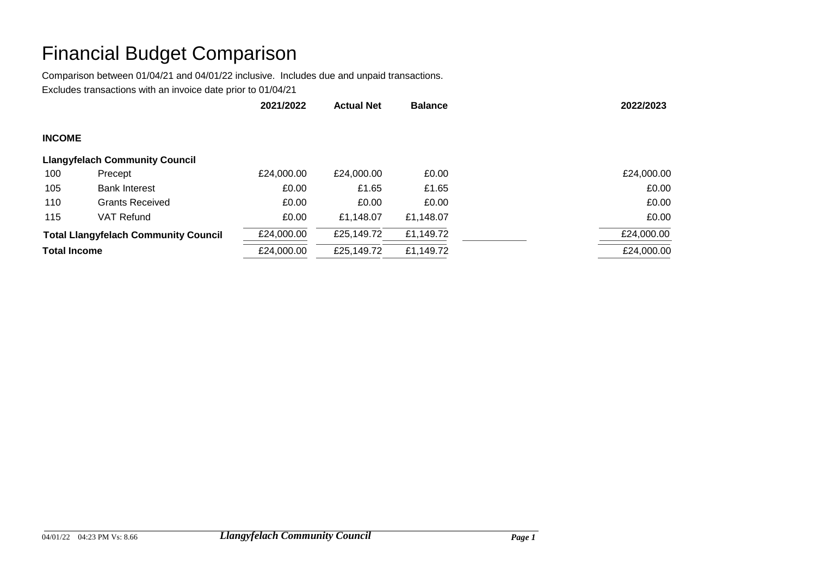## Financial Budget Comparison

Comparison between 01/04/21 and 04/01/22 inclusive. Includes due and unpaid transactions.

Excludes transactions with an invoice date prior to 01/04/21

|                                             |                                       | 2021/2022  | <b>Actual Net</b> | <b>Balance</b> | 2022/2023  |
|---------------------------------------------|---------------------------------------|------------|-------------------|----------------|------------|
| <b>INCOME</b>                               |                                       |            |                   |                |            |
|                                             | <b>Llangyfelach Community Council</b> |            |                   |                |            |
| 100                                         | Precept                               | £24,000.00 | £24,000.00        | £0.00          | £24,000.00 |
| 105                                         | <b>Bank Interest</b>                  | £0.00      | £1.65             | £1.65          | £0.00      |
| 110                                         | <b>Grants Received</b>                | £0.00      | £0.00             | £0.00          | £0.00      |
| 115                                         | VAT Refund                            | £0.00      | £1,148.07         | £1,148.07      | £0.00      |
| <b>Total Llangyfelach Community Council</b> |                                       | £24,000.00 | £25,149.72        | £1,149.72      | £24,000.00 |
| <b>Total Income</b>                         |                                       | £24,000.00 | £25,149.72        | £1,149.72      | £24,000.00 |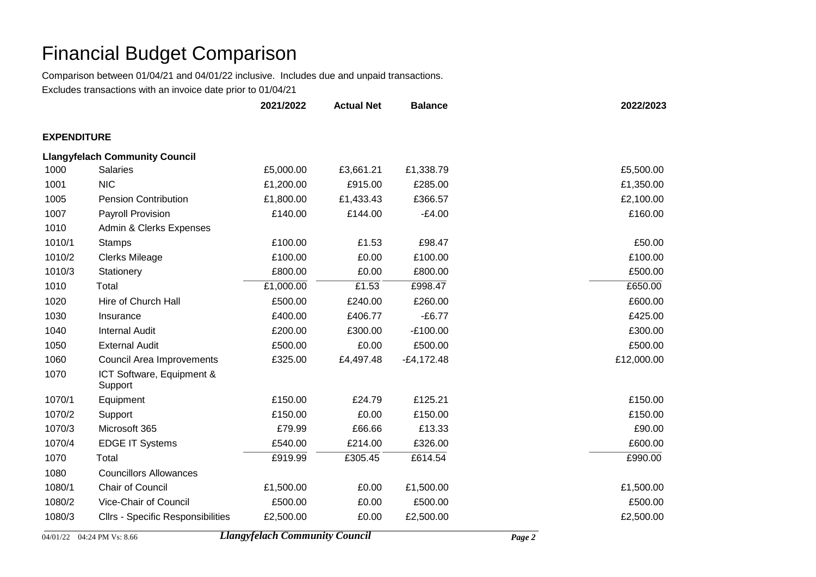## Financial Budget Comparison

Comparison between 01/04/21 and 04/01/22 inclusive. Includes due and unpaid transactions.

Excludes transactions with an invoice date prior to 01/04/21

|                    |                                          | 2021/2022 | <b>Actual Net</b> | <b>Balance</b> | 2022/2023  |
|--------------------|------------------------------------------|-----------|-------------------|----------------|------------|
| <b>EXPENDITURE</b> |                                          |           |                   |                |            |
|                    | <b>Llangyfelach Community Council</b>    |           |                   |                |            |
| 1000               | <b>Salaries</b>                          | £5,000.00 | £3,661.21         | £1,338.79      | £5,500.00  |
| 1001               | <b>NIC</b>                               | £1,200.00 | £915.00           | £285.00        | £1,350.00  |
| 1005               | <b>Pension Contribution</b>              | £1,800.00 | £1,433.43         | £366.57        | £2,100.00  |
| 1007               | Payroll Provision                        | £140.00   | £144.00           | $-£4.00$       | £160.00    |
| 1010               | Admin & Clerks Expenses                  |           |                   |                |            |
| 1010/1             | <b>Stamps</b>                            | £100.00   | £1.53             | £98.47         | £50.00     |
| 1010/2             | <b>Clerks Mileage</b>                    | £100.00   | £0.00             | £100.00        | £100.00    |
| 1010/3             | Stationery                               | £800.00   | £0.00             | £800.00        | £500.00    |
| 1010               | Total                                    | £1,000.00 | £1.53             | £998.47        | £650.00    |
| 1020               | Hire of Church Hall                      | £500.00   | £240.00           | £260.00        | £600.00    |
| 1030               | Insurance                                | £400.00   | £406.77           | $-£6.77$       | £425.00    |
| 1040               | <b>Internal Audit</b>                    | £200.00   | £300.00           | $-E100.00$     | £300.00    |
| 1050               | <b>External Audit</b>                    | £500.00   | £0.00             | £500.00        | £500.00    |
| 1060               | <b>Council Area Improvements</b>         | £325.00   | £4,497.48         | $-E4,172.48$   | £12,000.00 |
| 1070               | ICT Software, Equipment &<br>Support     |           |                   |                |            |
| 1070/1             | Equipment                                | £150.00   | £24.79            | £125.21        | £150.00    |
| 1070/2             | Support                                  | £150.00   | £0.00             | £150.00        | £150.00    |
| 1070/3             | Microsoft 365                            | £79.99    | £66.66            | £13.33         | £90.00     |
| 1070/4             | <b>EDGE IT Systems</b>                   | £540.00   | £214.00           | £326.00        | £600.00    |
| 1070               | Total                                    | £919.99   | £305.45           | £614.54        | £990.00    |
| 1080               | <b>Councillors Allowances</b>            |           |                   |                |            |
| 1080/1             | Chair of Council                         | £1,500.00 | £0.00             | £1,500.00      | £1,500.00  |
| 1080/2             | Vice-Chair of Council                    | £500.00   | £0.00             | £500.00        | £500.00    |
| 1080/3             | <b>Cllrs - Specific Responsibilities</b> | £2,500.00 | £0.00             | £2,500.00      | £2,500.00  |

04/01/22 04:24 PM Vs: 8.66 *Llangyfelach Community Council Page 2*